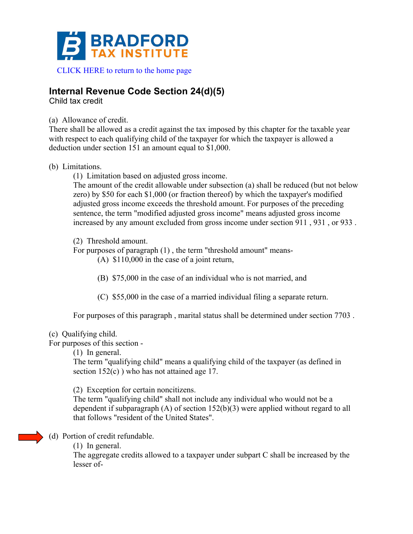

# **Internal Revenue Code Section 24(d)(5)**

Child tax credit

#### (a) Allowance of credit.

There shall be allowed as a credit against the tax imposed by this chapter for the taxable year with respect to each qualifying child of the taxpayer for which the taxpayer is allowed a deduction under section 151 an amount equal to \$1,000.

## (b) Limitations.

(1) Limitation based on adjusted gross income.

The amount of the credit allowable under subsection (a) shall be reduced (but not below zero) by \$50 for each \$1,000 (or fraction thereof) by which the taxpayer's modified adjusted gross income exceeds the threshold amount. For purposes of the preceding sentence, the term "modified adjusted gross income" means adjusted gross income increased by any amount excluded from gross income under section 911 , 931 , or 933 .

# (2) Threshold amount.

For purposes of paragraph (1) , the term "threshold amount" means-

(A) \$110,000 in the case of a joint return,

(B) \$75,000 in the case of an individual who is not married, and

(C) \$55,000 in the case of a married individual filing a separate return.

For purposes of this paragraph , marital status shall be determined under section 7703 .

## (c) Qualifying child.

For purposes of this section -

(1) In general.

The term "qualifying child" means a qualifying child of the taxpayer (as defined in section 152(c)) who has not attained age 17.

(2) Exception for certain noncitizens.

The term "qualifying child" shall not include any individual who would not be a dependent if subparagraph (A) of section 152(b)(3) were applied without regard to all that follows "resident of the United States".

# (d) Portion of credit refundable.

(1) In general.

The aggregate credits allowed to a taxpayer under subpart C shall be increased by the lesser of-

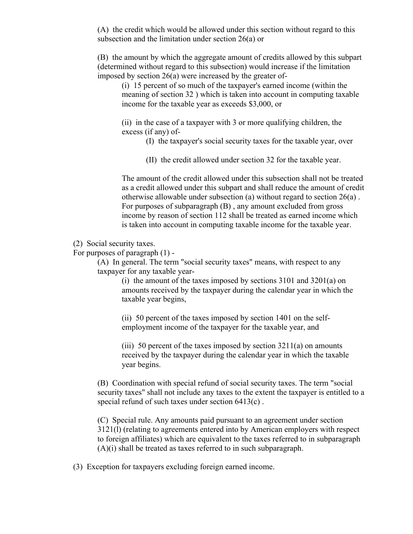(A) the credit which would be allowed under this section without regard to this subsection and the limitation under section 26(a) or

(B) the amount by which the aggregate amount of credits allowed by this subpart (determined without regard to this subsection) would increase if the limitation imposed by section 26(a) were increased by the greater of-

(i) 15 percent of so much of the taxpayer's earned income (within the meaning of section 32 ) which is taken into account in computing taxable income for the taxable year as exceeds \$3,000, or

(ii) in the case of a taxpayer with 3 or more qualifying children, the excess (if any) of-

(I) the taxpayer's social security taxes for the taxable year, over

(II) the credit allowed under section 32 for the taxable year.

The amount of the credit allowed under this subsection shall not be treated as a credit allowed under this subpart and shall reduce the amount of credit otherwise allowable under subsection (a) without regard to section 26(a) . For purposes of subparagraph (B) , any amount excluded from gross income by reason of section 112 shall be treated as earned income which is taken into account in computing taxable income for the taxable year.

(2) Social security taxes.

For purposes of paragraph (1) -

(A) In general. The term "social security taxes" means, with respect to any taxpayer for any taxable year-

> (i) the amount of the taxes imposed by sections 3101 and 3201(a) on amounts received by the taxpayer during the calendar year in which the taxable year begins,

(ii) 50 percent of the taxes imposed by section 1401 on the selfemployment income of the taxpayer for the taxable year, and

(iii) 50 percent of the taxes imposed by section 3211(a) on amounts received by the taxpayer during the calendar year in which the taxable year begins.

(B) Coordination with special refund of social security taxes. The term "social security taxes" shall not include any taxes to the extent the taxpayer is entitled to a special refund of such taxes under section 6413(c) .

(C) Special rule. Any amounts paid pursuant to an agreement under section 3121(l) (relating to agreements entered into by American employers with respect to foreign affiliates) which are equivalent to the taxes referred to in subparagraph  $(A)(i)$  shall be treated as taxes referred to in such subparagraph.

(3) Exception for taxpayers excluding foreign earned income.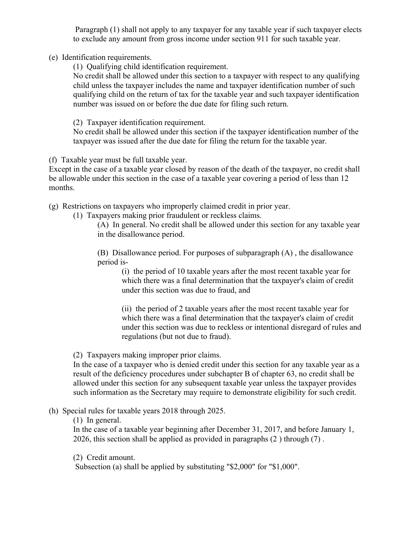Paragraph (1) shall not apply to any taxpayer for any taxable year if such taxpayer elects to exclude any amount from gross income under section 911 for such taxable year.

(e) Identification requirements.

(1) Qualifying child identification requirement.

No credit shall be allowed under this section to a taxpayer with respect to any qualifying child unless the taxpayer includes the name and taxpayer identification number of such qualifying child on the return of tax for the taxable year and such taxpayer identification number was issued on or before the due date for filing such return.

(2) Taxpayer identification requirement.

No credit shall be allowed under this section if the taxpayer identification number of the taxpayer was issued after the due date for filing the return for the taxable year.

(f) Taxable year must be full taxable year.

Except in the case of a taxable year closed by reason of the death of the taxpayer, no credit shall be allowable under this section in the case of a taxable year covering a period of less than 12 months.

(g) Restrictions on taxpayers who improperly claimed credit in prior year.

(1) Taxpayers making prior fraudulent or reckless claims.

(A) In general. No credit shall be allowed under this section for any taxable year in the disallowance period.

(B) Disallowance period. For purposes of subparagraph (A) , the disallowance period is-

(i) the period of 10 taxable years after the most recent taxable year for which there was a final determination that the taxpayer's claim of credit under this section was due to fraud, and

(ii) the period of 2 taxable years after the most recent taxable year for which there was a final determination that the taxpayer's claim of credit under this section was due to reckless or intentional disregard of rules and regulations (but not due to fraud).

(2) Taxpayers making improper prior claims.

In the case of a taxpayer who is denied credit under this section for any taxable year as a result of the deficiency procedures under subchapter B of chapter 63, no credit shall be allowed under this section for any subsequent taxable year unless the taxpayer provides such information as the Secretary may require to demonstrate eligibility for such credit.

#### (h) Special rules for taxable years 2018 through 2025.

(1) In general.

In the case of a taxable year beginning after December 31, 2017, and before January 1, 2026, this section shall be applied as provided in paragraphs (2 ) through (7) .

(2) Credit amount.

Subsection (a) shall be applied by substituting "\$2,000" for "\$1,000".